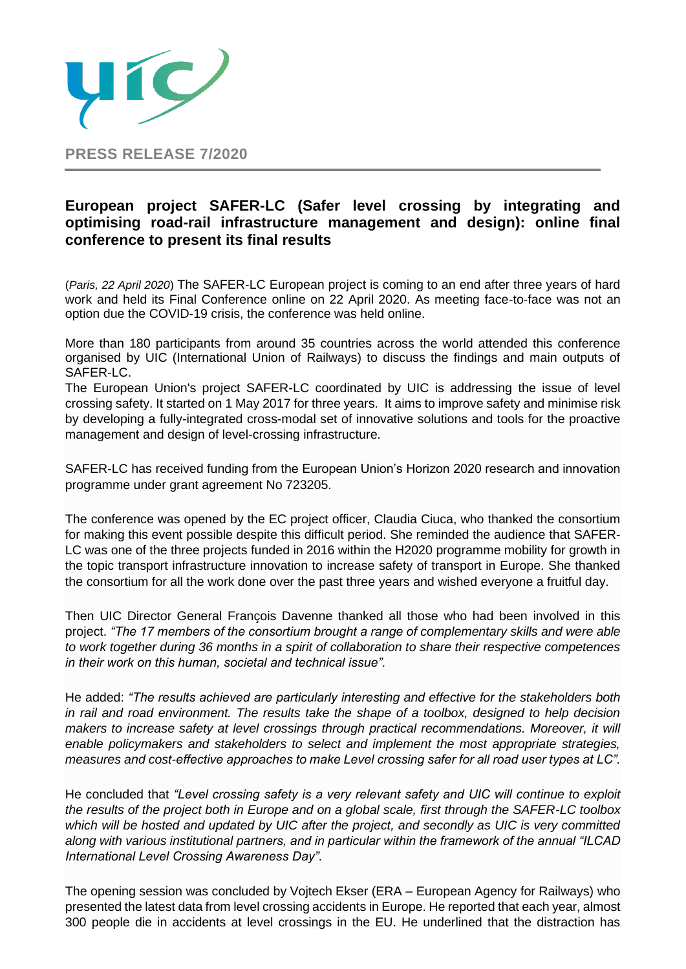

## **European project SAFER-LC (Safer level crossing by integrating and optimising road-rail infrastructure management and design): online final conference to present its final results**

(*Paris, 22 April 2020*) The SAFER-LC European project is coming to an end after three years of hard work and held its Final Conference online on 22 April 2020. As meeting face-to-face was not an option due the COVID-19 crisis, the conference was held online.

More than 180 participants from around 35 countries across the world attended this conference organised by UIC (International Union of Railways) to discuss the findings and main outputs of SAFER-LC.

The European Union's project SAFER-LC coordinated by UIC is addressing the issue of level crossing safety. It started on 1 May 2017 for three years. It aims to improve safety and minimise risk by developing a fully-integrated cross-modal set of innovative solutions and tools for the proactive management and design of level-crossing infrastructure.

SAFER-LC has received funding from the European Union's Horizon 2020 research and innovation programme under grant agreement No 723205.

The conference was opened by the EC project officer, Claudia Ciuca, who thanked the consortium for making this event possible despite this difficult period. She reminded the audience that SAFER-LC was one of the three projects funded in 2016 within the H2020 programme mobility for growth in the topic transport infrastructure innovation to increase safety of transport in Europe. She thanked the consortium for all the work done over the past three years and wished everyone a fruitful day.

Then UIC Director General François Davenne thanked all those who had been involved in this project. *"The 17 members of the consortium brought a range of complementary skills and were able to work together during 36 months in a spirit of collaboration to share their respective competences in their work on this human, societal and technical issue".*

He added: *"The results achieved are particularly interesting and effective for the stakeholders both in rail and road environment. The results take the shape of a toolbox, designed to help decision makers to increase safety at level crossings through practical recommendations. Moreover, it will enable policymakers and stakeholders to select and implement the most appropriate strategies, measures and cost-effective approaches to make Level crossing safer for all road user types at LC".*

He concluded that *"Level crossing safety is a very relevant safety and UIC will continue to exploit the results of the project both in Europe and on a global scale, first through the SAFER-LC toolbox*  which will be hosted and updated by UIC after the project, and secondly as UIC is very committed *along with various institutional partners, and in particular within the framework of the annual "ILCAD International Level Crossing Awareness Day".*

The opening session was concluded by Vojtech Ekser (ERA – European Agency for Railways) who presented the latest data from level crossing accidents in Europe. He reported that each year, almost 300 people die in accidents at level crossings in the EU. He underlined that the distraction has